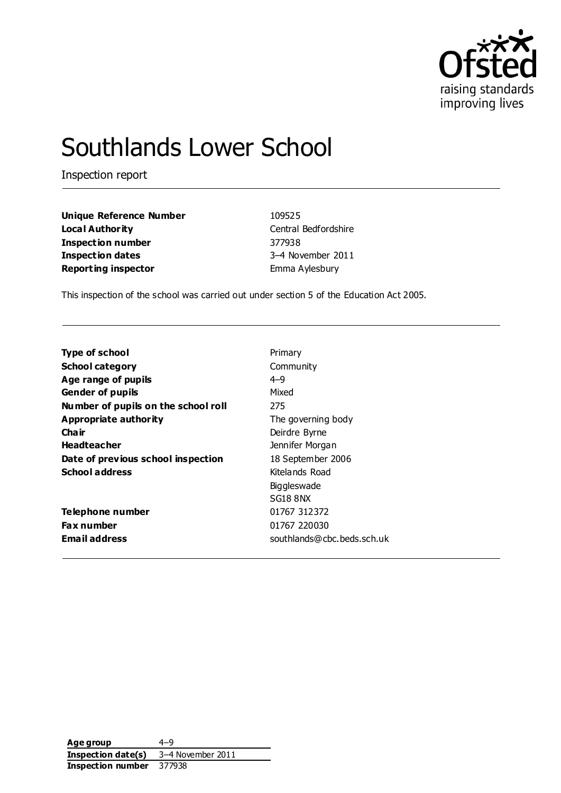

# Southlands Lower School

Inspection report

**Unique Reference Number** 109525 **Local Authority** Central Bedfordshire **Inspection number** 377938 **Inspection dates** 3–4 November 2011 **Reporting inspector** Emma Aylesbury

This inspection of the school was carried out under section 5 of the Education Act 2005.

| <b>Type of school</b>               | Primary                    |
|-------------------------------------|----------------------------|
| <b>School category</b>              | Community                  |
| Age range of pupils                 | $4 - 9$                    |
| <b>Gender of pupils</b>             | Mixed                      |
| Number of pupils on the school roll | 275                        |
| Appropriate authority               | The governing body         |
| Cha ir                              | Deirdre Byrne              |
| <b>Headteacher</b>                  | Jennifer Morgan            |
| Date of previous school inspection  | 18 September 2006          |
| <b>School address</b>               | Kitelands Road             |
|                                     | Biggleswade                |
|                                     | SG18 8NX                   |
| Telephone number                    | 01767 312372               |
| <b>Fax number</b>                   | 01767 220030               |
| <b>Email address</b>                | southlands@cbc.beds.sch.uk |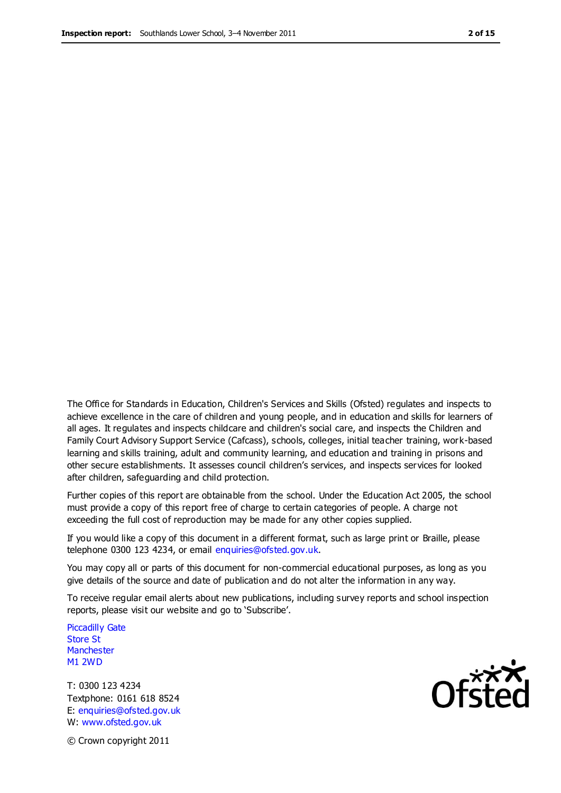The Office for Standards in Education, Children's Services and Skills (Ofsted) regulates and inspects to achieve excellence in the care of children and young people, and in education and skills for learners of all ages. It regulates and inspects childcare and children's social care, and inspects the Children and Family Court Advisory Support Service (Cafcass), schools, colleges, initial teacher training, work-based learning and skills training, adult and community learning, and education and training in prisons and other secure establishments. It assesses council children's services, and inspects services for looked after children, safeguarding and child protection.

Further copies of this report are obtainable from the school. Under the Education Act 2005, the school must provide a copy of this report free of charge to certain categories of people. A charge not exceeding the full cost of reproduction may be made for any other copies supplied.

If you would like a copy of this document in a different format, such as large print or Braille, please telephone 0300 123 4234, or email enquiries@ofsted.gov.uk.

You may copy all or parts of this document for non-commercial educational purposes, as long as you give details of the source and date of publication and do not alter the information in any way.

To receive regular email alerts about new publications, including survey reports and school inspection reports, please visit our website and go to 'Subscribe'.

Piccadilly Gate Store St **Manchester** M1 2WD

T: 0300 123 4234 Textphone: 0161 618 8524 E: enquiries@ofsted.gov.uk W: www.ofsted.gov.uk

**Ofsted** 

© Crown copyright 2011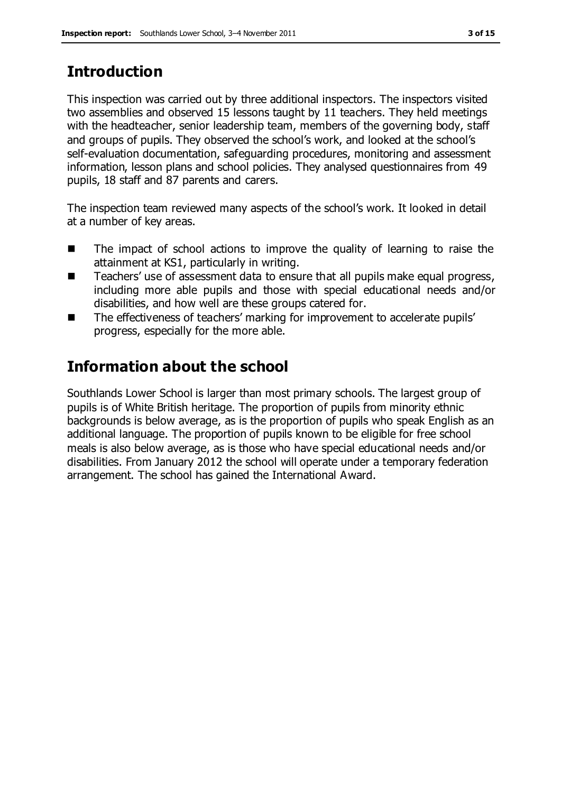# **Introduction**

This inspection was carried out by three additional inspectors. The inspectors visited two assemblies and observed 15 lessons taught by 11 teachers. They held meetings with the headteacher, senior leadership team, members of the governing body, staff and groups of pupils. They observed the school's work, and looked at the school's self-evaluation documentation, safeguarding procedures, monitoring and assessment information, lesson plans and school policies. They analysed questionnaires from 49 pupils, 18 staff and 87 parents and carers.

The inspection team reviewed many aspects of the school's work. It looked in detail at a number of key areas.

- The impact of school actions to improve the quality of learning to raise the attainment at KS1, particularly in writing.
- Teachers' use of assessment data to ensure that all pupils make equal progress, including more able pupils and those with special educational needs and/or disabilities, and how well are these groups catered for.
- The effectiveness of teachers' marking for improvement to accelerate pupils' progress, especially for the more able.

# **Information about the school**

Southlands Lower School is larger than most primary schools. The largest group of pupils is of White British heritage. The proportion of pupils from minority ethnic backgrounds is below average, as is the proportion of pupils who speak English as an additional language. The proportion of pupils known to be eligible for free school meals is also below average, as is those who have special educational needs and/or disabilities. From January 2012 the school will operate under a temporary federation arrangement. The school has gained the International Award.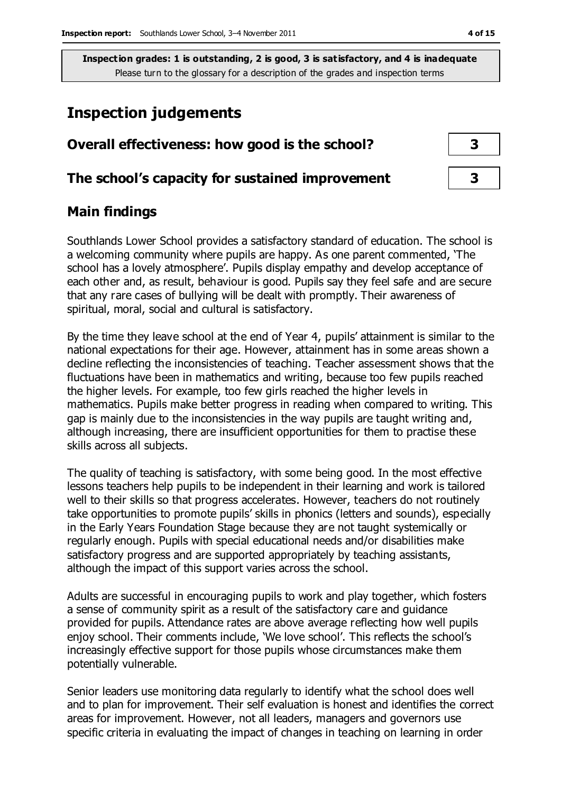# **Inspection judgements**

| Overall effectiveness: how good is the school?  |  |  |
|-------------------------------------------------|--|--|
| The school's capacity for sustained improvement |  |  |

### **Main findings**

Southlands Lower School provides a satisfactory standard of education. The school is a welcoming community where pupils are happy. As one parent commented, 'The school has a lovely atmosphere'. Pupils display empathy and develop acceptance of each other and, as result, behaviour is good. Pupils say they feel safe and are secure that any rare cases of bullying will be dealt with promptly. Their awareness of spiritual, moral, social and cultural is satisfactory.

By the time they leave school at the end of Year 4, pupils' attainment is similar to the national expectations for their age. However, attainment has in some areas shown a decline reflecting the inconsistencies of teaching. Teacher assessment shows that the fluctuations have been in mathematics and writing, because too few pupils reached the higher levels. For example, too few girls reached the higher levels in mathematics. Pupils make better progress in reading when compared to writing. This gap is mainly due to the inconsistencies in the way pupils are taught writing and, although increasing, there are insufficient opportunities for them to practise these skills across all subjects.

The quality of teaching is satisfactory, with some being good. In the most effective lessons teachers help pupils to be independent in their learning and work is tailored well to their skills so that progress accelerates. However, teachers do not routinely take opportunities to promote pupils' skills in phonics (letters and sounds), especially in the Early Years Foundation Stage because they are not taught systemically or regularly enough. Pupils with special educational needs and/or disabilities make satisfactory progress and are supported appropriately by teaching assistants, although the impact of this support varies across the school.

Adults are successful in encouraging pupils to work and play together, which fosters a sense of community spirit as a result of the satisfactory care and guidance provided for pupils. Attendance rates are above average reflecting how well pupils enjoy school. Their comments include, 'We love school'. This reflects the school's increasingly effective support for those pupils whose circumstances make them potentially vulnerable.

Senior leaders use monitoring data regularly to identify what the school does well and to plan for improvement. Their self evaluation is honest and identifies the correct areas for improvement. However, not all leaders, managers and governors use specific criteria in evaluating the impact of changes in teaching on learning in order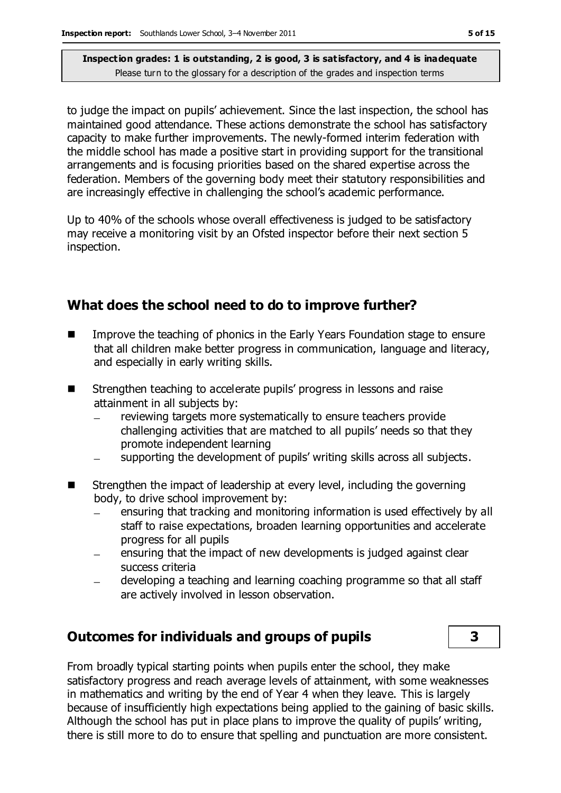to judge the impact on pupils' achievement. Since the last inspection, the school has maintained good attendance. These actions demonstrate the school has satisfactory capacity to make further improvements. The newly-formed interim federation with the middle school has made a positive start in providing support for the transitional arrangements and is focusing priorities based on the shared expertise across the federation. Members of the governing body meet their statutory responsibilities and are increasingly effective in challenging the school's academic performance.

Up to 40% of the schools whose overall effectiveness is judged to be satisfactory may receive a monitoring visit by an Ofsted inspector before their next section 5 inspection.

### **What does the school need to do to improve further?**

- **IMPROVE THE THOMAGE IN THE EXAM** Improve the teaching of phonics in the Early Years Foundation stage to ensure that all children make better progress in communication, language and literacy, and especially in early writing skills.
- Strengthen teaching to accelerate pupils' progress in lessons and raise attainment in all subjects by:
	- reviewing targets more systematically to ensure teachers provide challenging activities that are matched to all pupils' needs so that they promote independent learning
	- supporting the development of pupils' writing skills across all subjects.
- Strengthen the impact of leadership at every level, including the governing body, to drive school improvement by:
	- ensuring that tracking and monitoring information is used effectively by all staff to raise expectations, broaden learning opportunities and accelerate progress for all pupils
	- ensuring that the impact of new developments is judged against clear success criteria
	- developing a teaching and learning coaching programme so that all staff are actively involved in lesson observation.

### **Outcomes for individuals and groups of pupils 3**

From broadly typical starting points when pupils enter the school, they make satisfactory progress and reach average levels of attainment, with some weaknesses in mathematics and writing by the end of Year 4 when they leave. This is largely because of insufficiently high expectations being applied to the gaining of basic skills. Although the school has put in place plans to improve the quality of pupils' writing, there is still more to do to ensure that spelling and punctuation are more consistent.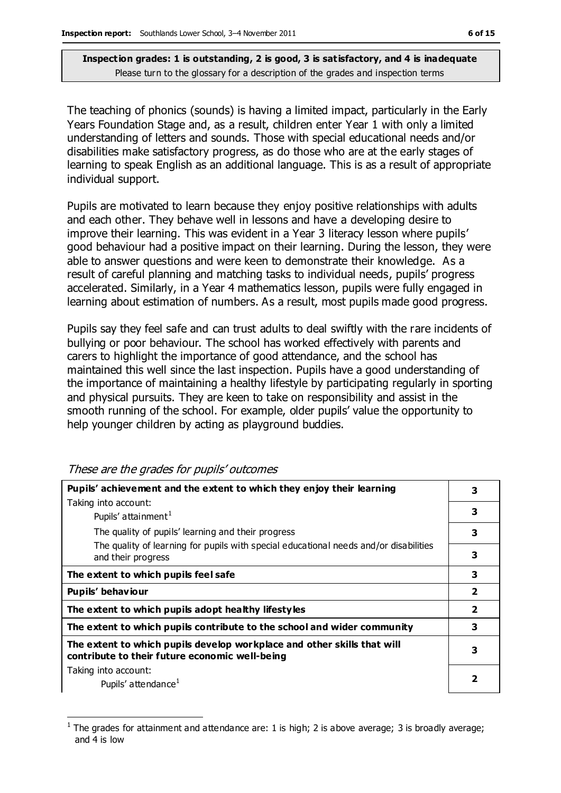The teaching of phonics (sounds) is having a limited impact, particularly in the Early Years Foundation Stage and, as a result, children enter Year 1 with only a limited understanding of letters and sounds. Those with special educational needs and/or disabilities make satisfactory progress, as do those who are at the early stages of learning to speak English as an additional language. This is as a result of appropriate individual support.

Pupils are motivated to learn because they enjoy positive relationships with adults and each other. They behave well in lessons and have a developing desire to improve their learning. This was evident in a Year 3 literacy lesson where pupils' good behaviour had a positive impact on their learning. During the lesson, they were able to answer questions and were keen to demonstrate their knowledge. As a result of careful planning and matching tasks to individual needs, pupils' progress accelerated. Similarly, in a Year 4 mathematics lesson, pupils were fully engaged in learning about estimation of numbers. As a result, most pupils made good progress.

Pupils say they feel safe and can trust adults to deal swiftly with the rare incidents of bullying or poor behaviour. The school has worked effectively with parents and carers to highlight the importance of good attendance, and the school has maintained this well since the last inspection. Pupils have a good understanding of the importance of maintaining a healthy lifestyle by participating regularly in sporting and physical pursuits. They are keen to take on responsibility and assist in the smooth running of the school. For example, older pupils' value the opportunity to help younger children by acting as playground buddies.

| Pupils' achievement and the extent to which they enjoy their learning                                                     |                         |
|---------------------------------------------------------------------------------------------------------------------------|-------------------------|
| Taking into account:                                                                                                      |                         |
| Pupils' attainment <sup>1</sup>                                                                                           | 3                       |
| The quality of pupils' learning and their progress                                                                        | 3                       |
| The quality of learning for pupils with special educational needs and/or disabilities<br>and their progress               | 3                       |
|                                                                                                                           |                         |
| The extent to which pupils feel safe                                                                                      | 3                       |
| Pupils' behaviour                                                                                                         | $\overline{\mathbf{2}}$ |
| The extent to which pupils adopt healthy lifestyles                                                                       | $\overline{\mathbf{2}}$ |
| The extent to which pupils contribute to the school and wider community                                                   | 3                       |
| The extent to which pupils develop workplace and other skills that will<br>contribute to their future economic well-being | 3                       |
|                                                                                                                           |                         |
| Taking into account:                                                                                                      |                         |
| Pupils' attendance <sup>1</sup>                                                                                           | כ                       |

These are the grades for pupils' outcomes

 $\overline{a}$ 

<sup>1</sup> The grades for attainment and attendance are: 1 is high; 2 is above average; 3 is broadly average; and 4 is low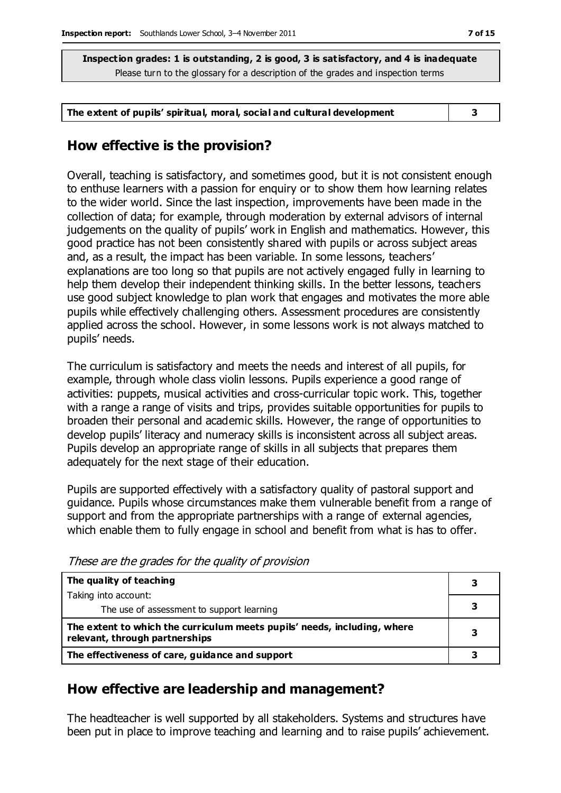**The extent of pupils' spiritual, moral, social and cultural development 3**

### **How effective is the provision?**

Overall, teaching is satisfactory, and sometimes good, but it is not consistent enough to enthuse learners with a passion for enquiry or to show them how learning relates to the wider world. Since the last inspection, improvements have been made in the collection of data; for example, through moderation by external advisors of internal judgements on the quality of pupils' work in English and mathematics. However, this good practice has not been consistently shared with pupils or across subject areas and, as a result, the impact has been variable. In some lessons, teachers' explanations are too long so that pupils are not actively engaged fully in learning to help them develop their independent thinking skills. In the better lessons, teachers use good subject knowledge to plan work that engages and motivates the more able pupils while effectively challenging others. Assessment procedures are consistently applied across the school. However, in some lessons work is not always matched to pupils' needs.

The curriculum is satisfactory and meets the needs and interest of all pupils, for example, through whole class violin lessons. Pupils experience a good range of activities: puppets, musical activities and cross-curricular topic work. This, together with a range a range of visits and trips, provides suitable opportunities for pupils to broaden their personal and academic skills. However, the range of opportunities to develop pupils' literacy and numeracy skills is inconsistent across all subject areas. Pupils develop an appropriate range of skills in all subjects that prepares them adequately for the next stage of their education.

Pupils are supported effectively with a satisfactory quality of pastoral support and guidance. Pupils whose circumstances make them vulnerable benefit from a range of support and from the appropriate partnerships with a range of external agencies, which enable them to fully engage in school and benefit from what is has to offer.

| The quality of teaching                                                                                    |  |
|------------------------------------------------------------------------------------------------------------|--|
| Taking into account:                                                                                       |  |
| The use of assessment to support learning                                                                  |  |
| The extent to which the curriculum meets pupils' needs, including, where<br>relevant, through partnerships |  |
| The effectiveness of care, guidance and support                                                            |  |

These are the grades for the quality of provision

# **How effective are leadership and management?**

The headteacher is well supported by all stakeholders. Systems and structures have been put in place to improve teaching and learning and to raise pupils' achievement.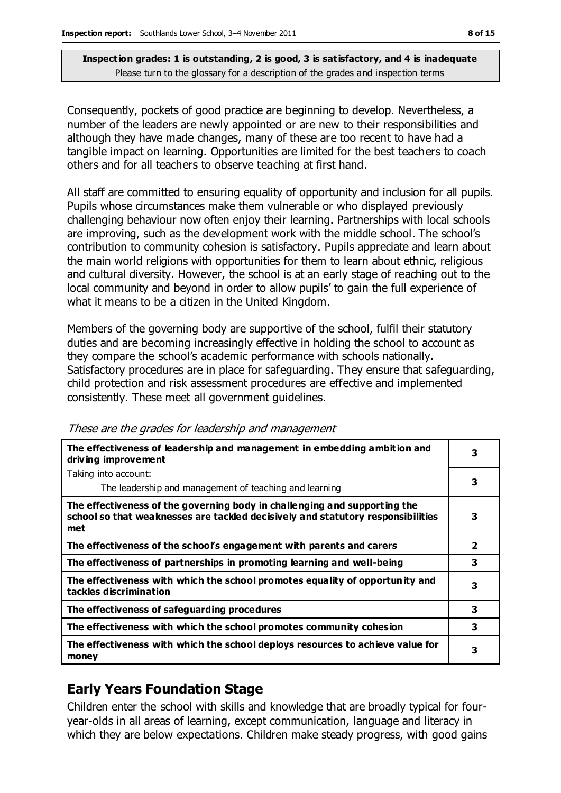Consequently, pockets of good practice are beginning to develop. Nevertheless, a number of the leaders are newly appointed or are new to their responsibilities and although they have made changes, many of these are too recent to have had a tangible impact on learning. Opportunities are limited for the best teachers to coach others and for all teachers to observe teaching at first hand.

All staff are committed to ensuring equality of opportunity and inclusion for all pupils. Pupils whose circumstances make them vulnerable or who displayed previously challenging behaviour now often enjoy their learning. Partnerships with local schools are improving, such as the development work with the middle school. The school's contribution to community cohesion is satisfactory. Pupils appreciate and learn about the main world religions with opportunities for them to learn about ethnic, religious and cultural diversity. However, the school is at an early stage of reaching out to the local community and beyond in order to allow pupils' to gain the full experience of what it means to be a citizen in the United Kingdom.

Members of the governing body are supportive of the school, fulfil their statutory duties and are becoming increasingly effective in holding the school to account as they compare the school's academic performance with schools nationally. Satisfactory procedures are in place for safeguarding. They ensure that safeguarding, child protection and risk assessment procedures are effective and implemented consistently. These meet all government guidelines.

| The effectiveness of leadership and management in embedding ambition and<br>driving improvement                                                                     |                |
|---------------------------------------------------------------------------------------------------------------------------------------------------------------------|----------------|
| Taking into account:                                                                                                                                                |                |
| The leadership and management of teaching and learning                                                                                                              | З              |
| The effectiveness of the governing body in challenging and supporting the<br>school so that weaknesses are tackled decisively and statutory responsibilities<br>met | 3              |
| The effectiveness of the school's engagement with parents and carers                                                                                                | $\overline{2}$ |
| The effectiveness of partnerships in promoting learning and well-being                                                                                              | 3              |
| The effectiveness with which the school promotes equality of opportunity and<br>tackles discrimination                                                              | 3              |
| The effectiveness of safeguarding procedures                                                                                                                        | 3              |
| The effectiveness with which the school promotes community cohesion                                                                                                 | 3              |
| The effectiveness with which the school deploys resources to achieve value for<br>money                                                                             | 3              |

These are the grades for leadership and management

# **Early Years Foundation Stage**

Children enter the school with skills and knowledge that are broadly typical for fouryear-olds in all areas of learning, except communication, language and literacy in which they are below expectations. Children make steady progress, with good gains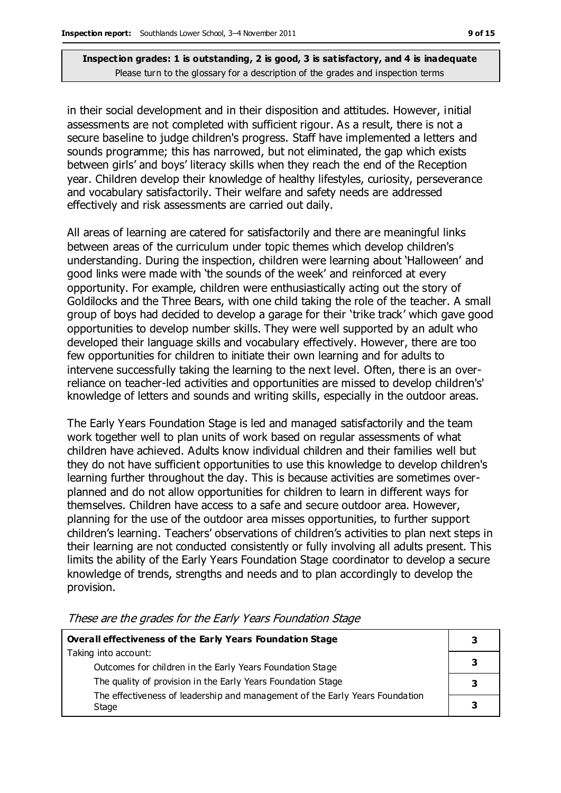in their social development and in their disposition and attitudes. However, initial assessments are not completed with sufficient rigour. As a result, there is not a secure baseline to judge children's progress. Staff have implemented a letters and sounds programme; this has narrowed, but not eliminated, the gap which exists between girls' and boys' literacy skills when they reach the end of the Reception year. Children develop their knowledge of healthy lifestyles, curiosity, perseverance and vocabulary satisfactorily. Their welfare and safety needs are addressed effectively and risk assessments are carried out daily.

All areas of learning are catered for satisfactorily and there are meaningful links between areas of the curriculum under topic themes which develop children's understanding. During the inspection, children were learning about 'Halloween' and good links were made with 'the sounds of the week' and reinforced at every opportunity. For example, children were enthusiastically acting out the story of Goldilocks and the Three Bears, with one child taking the role of the teacher. A small group of boys had decided to develop a garage for their 'trike track' which gave good opportunities to develop number skills. They were well supported by an adult who developed their language skills and vocabulary effectively. However, there are too few opportunities for children to initiate their own learning and for adults to intervene successfully taking the learning to the next level. Often, there is an overreliance on teacher-led activities and opportunities are missed to develop children's' knowledge of letters and sounds and writing skills, especially in the outdoor areas.

The Early Years Foundation Stage is led and managed satisfactorily and the team work together well to plan units of work based on regular assessments of what children have achieved. Adults know individual children and their families well but they do not have sufficient opportunities to use this knowledge to develop children's learning further throughout the day. This is because activities are sometimes overplanned and do not allow opportunities for children to learn in different ways for themselves. Children have access to a safe and secure outdoor area. However, planning for the use of the outdoor area misses opportunities, to further support children's learning. Teachers' observations of children's activities to plan next steps in their learning are not conducted consistently or fully involving all adults present. This limits the ability of the Early Years Foundation Stage coordinator to develop a secure knowledge of trends, strengths and needs and to plan accordingly to develop the provision.

| <b>Overall effectiveness of the Early Years Foundation Stage</b>                      |  |
|---------------------------------------------------------------------------------------|--|
| Taking into account:<br>Outcomes for children in the Early Years Foundation Stage     |  |
| The quality of provision in the Early Years Foundation Stage                          |  |
| The effectiveness of leadership and management of the Early Years Foundation<br>Stage |  |

These are the grades for the Early Years Foundation Stage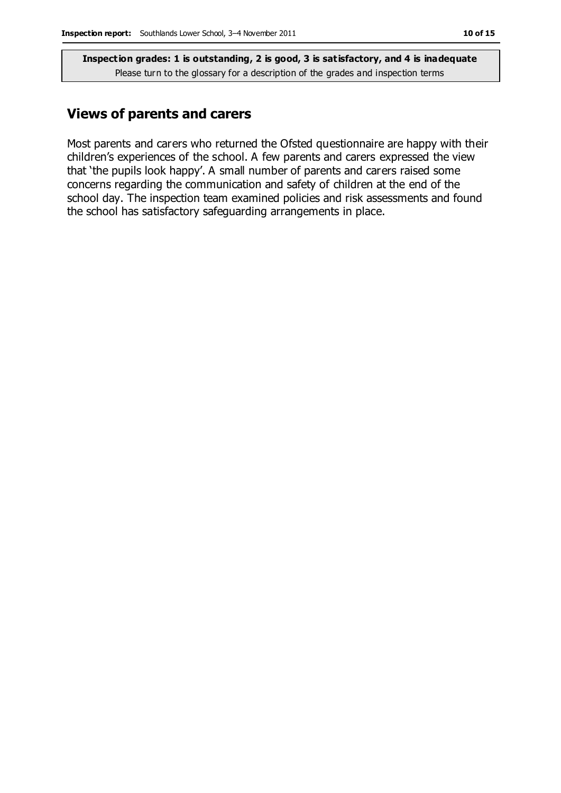### **Views of parents and carers**

Most parents and carers who returned the Ofsted questionnaire are happy with their children's experiences of the school. A few parents and carers expressed the view that 'the pupils look happy'. A small number of parents and carers raised some concerns regarding the communication and safety of children at the end of the school day. The inspection team examined policies and risk assessments and found the school has satisfactory safeguarding arrangements in place.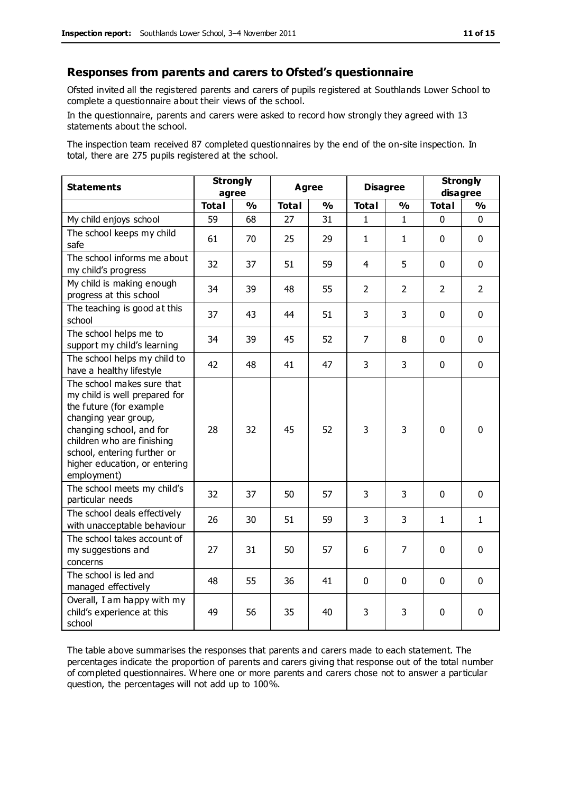#### **Responses from parents and carers to Ofsted's questionnaire**

Ofsted invited all the registered parents and carers of pupils registered at Southlands Lower School to complete a questionnaire about their views of the school.

In the questionnaire, parents and carers were asked to record how strongly they agreed with 13 statements about the school.

The inspection team received 87 completed questionnaires by the end of the on-site inspection. In total, there are 275 pupils registered at the school.

| <b>Statements</b>                                                                                                                                                                                                                                       | <b>Strongly</b><br>agree |               | Agree        |               | <b>Disagree</b> |                | <b>Strongly</b><br>disagree |                |
|---------------------------------------------------------------------------------------------------------------------------------------------------------------------------------------------------------------------------------------------------------|--------------------------|---------------|--------------|---------------|-----------------|----------------|-----------------------------|----------------|
|                                                                                                                                                                                                                                                         | <b>Total</b>             | $\frac{1}{2}$ | <b>Total</b> | $\frac{1}{2}$ | <b>Total</b>    | %              | <b>Total</b>                | %              |
| My child enjoys school                                                                                                                                                                                                                                  | 59                       | 68            | 27           | 31            | $\mathbf{1}$    | $\mathbf{1}$   | $\mathbf 0$                 | $\mathbf{0}$   |
| The school keeps my child<br>safe                                                                                                                                                                                                                       | 61                       | 70            | 25           | 29            | 1               | $\mathbf{1}$   | $\mathbf 0$                 | $\mathbf 0$    |
| The school informs me about<br>my child's progress                                                                                                                                                                                                      | 32                       | 37            | 51           | 59            | 4               | 5              | $\mathbf{0}$                | $\mathbf 0$    |
| My child is making enough<br>progress at this school                                                                                                                                                                                                    | 34                       | 39            | 48           | 55            | $\overline{2}$  | $\overline{2}$ | $\overline{2}$              | $\overline{2}$ |
| The teaching is good at this<br>school                                                                                                                                                                                                                  | 37                       | 43            | 44           | 51            | 3               | 3              | $\mathbf 0$                 | $\mathbf 0$    |
| The school helps me to<br>support my child's learning                                                                                                                                                                                                   | 34                       | 39            | 45           | 52            | $\overline{7}$  | 8              | $\Omega$                    | $\mathbf 0$    |
| The school helps my child to<br>have a healthy lifestyle                                                                                                                                                                                                | 42                       | 48            | 41           | 47            | 3               | 3              | $\mathbf 0$                 | $\mathbf 0$    |
| The school makes sure that<br>my child is well prepared for<br>the future (for example<br>changing year group,<br>changing school, and for<br>children who are finishing<br>school, entering further or<br>higher education, or entering<br>employment) | 28                       | 32            | 45           | 52            | 3               | 3              | $\mathbf{0}$                | $\mathbf 0$    |
| The school meets my child's<br>particular needs                                                                                                                                                                                                         | 32                       | 37            | 50           | 57            | 3               | 3              | $\mathbf 0$                 | $\mathbf 0$    |
| The school deals effectively<br>with unacceptable behaviour                                                                                                                                                                                             | 26                       | 30            | 51           | 59            | 3               | 3              | $\mathbf{1}$                | $\mathbf{1}$   |
| The school takes account of<br>my suggestions and<br>concerns                                                                                                                                                                                           | 27                       | 31            | 50           | 57            | 6               | $\overline{7}$ | $\mathbf 0$                 | $\mathbf 0$    |
| The school is led and<br>managed effectively                                                                                                                                                                                                            | 48                       | 55            | 36           | 41            | 0               | $\mathbf 0$    | $\mathbf{0}$                | $\mathbf 0$    |
| Overall, I am happy with my<br>child's experience at this<br>school                                                                                                                                                                                     | 49                       | 56            | 35           | 40            | 3               | 3              | $\mathbf 0$                 | $\mathbf 0$    |

The table above summarises the responses that parents and carers made to each statement. The percentages indicate the proportion of parents and carers giving that response out of the total number of completed questionnaires. Where one or more parents and carers chose not to answer a particular question, the percentages will not add up to 100%.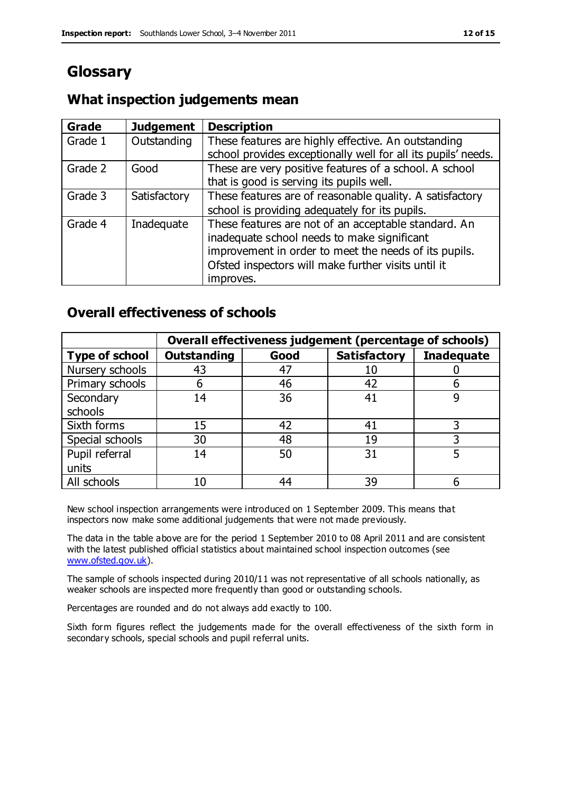# **Glossary**

### **What inspection judgements mean**

| Grade   | <b>Judgement</b> | <b>Description</b>                                            |
|---------|------------------|---------------------------------------------------------------|
| Grade 1 | Outstanding      | These features are highly effective. An outstanding           |
|         |                  | school provides exceptionally well for all its pupils' needs. |
| Grade 2 | Good             | These are very positive features of a school. A school        |
|         |                  | that is good is serving its pupils well.                      |
| Grade 3 | Satisfactory     | These features are of reasonable quality. A satisfactory      |
|         |                  | school is providing adequately for its pupils.                |
| Grade 4 | Inadequate       | These features are not of an acceptable standard. An          |
|         |                  | inadequate school needs to make significant                   |
|         |                  | improvement in order to meet the needs of its pupils.         |
|         |                  | Ofsted inspectors will make further visits until it           |
|         |                  | improves.                                                     |

### **Overall effectiveness of schools**

|                       |                    |      | Overall effectiveness judgement (percentage of schools) |                   |
|-----------------------|--------------------|------|---------------------------------------------------------|-------------------|
| <b>Type of school</b> | <b>Outstanding</b> | Good | <b>Satisfactory</b>                                     | <b>Inadequate</b> |
| Nursery schools       | 43                 | 47   | 10                                                      |                   |
| Primary schools       | 6                  | 46   | 42                                                      |                   |
| Secondary             | 14                 | 36   | 41                                                      |                   |
| schools               |                    |      |                                                         |                   |
| Sixth forms           | 15                 | 42   | 41                                                      | 3                 |
| Special schools       | 30                 | 48   | 19                                                      |                   |
| Pupil referral        | 14                 | 50   | 31                                                      |                   |
| units                 |                    |      |                                                         |                   |
| All schools           | 10                 | 44   | 39                                                      |                   |

New school inspection arrangements were introduced on 1 September 2009. This means that inspectors now make some additional judgements that were not made previously.

The data in the table above are for the period 1 September 2010 to 08 April 2011 and are consistent with the latest published official statistics about maintained school inspection outcomes (see [www.ofsted.gov.uk\)](http://www.ofsted.gov.uk/).

The sample of schools inspected during 2010/11 was not representative of all schools nationally, as weaker schools are inspected more frequently than good or outstanding schools.

Percentages are rounded and do not always add exactly to 100.

Sixth form figures reflect the judgements made for the overall effectiveness of the sixth form in secondary schools, special schools and pupil referral units.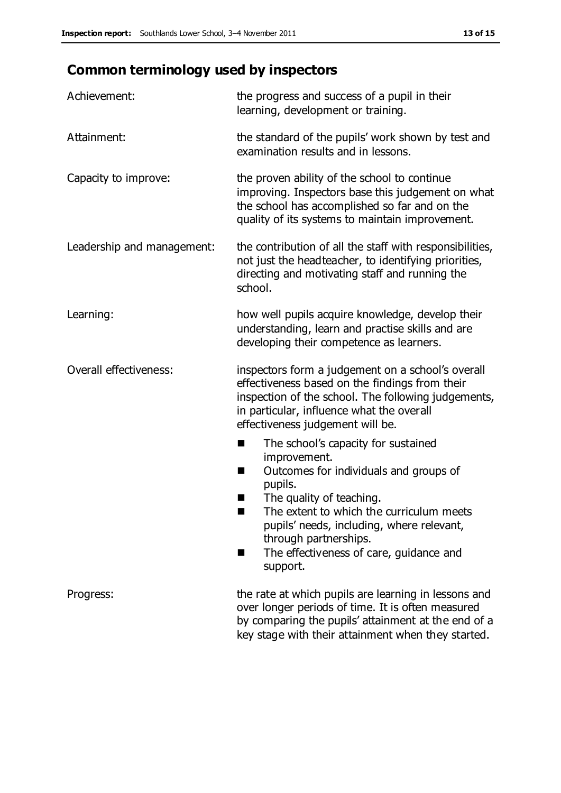# **Common terminology used by inspectors**

| Achievement:               | the progress and success of a pupil in their<br>learning, development or training.                                                                                                                                                                                                                                             |  |  |
|----------------------------|--------------------------------------------------------------------------------------------------------------------------------------------------------------------------------------------------------------------------------------------------------------------------------------------------------------------------------|--|--|
| Attainment:                | the standard of the pupils' work shown by test and<br>examination results and in lessons.                                                                                                                                                                                                                                      |  |  |
| Capacity to improve:       | the proven ability of the school to continue<br>improving. Inspectors base this judgement on what<br>the school has accomplished so far and on the<br>quality of its systems to maintain improvement.                                                                                                                          |  |  |
| Leadership and management: | the contribution of all the staff with responsibilities,<br>not just the headteacher, to identifying priorities,<br>directing and motivating staff and running the<br>school.                                                                                                                                                  |  |  |
| Learning:                  | how well pupils acquire knowledge, develop their<br>understanding, learn and practise skills and are<br>developing their competence as learners.                                                                                                                                                                               |  |  |
| Overall effectiveness:     | inspectors form a judgement on a school's overall<br>effectiveness based on the findings from their<br>inspection of the school. The following judgements,<br>in particular, influence what the overall<br>effectiveness judgement will be.                                                                                    |  |  |
|                            | The school's capacity for sustained<br>improvement.<br>Outcomes for individuals and groups of<br>п<br>pupils.<br>The quality of teaching.<br>The extent to which the curriculum meets<br>a s<br>pupils' needs, including, where relevant,<br>through partnerships.<br>The effectiveness of care, guidance and<br>■<br>support. |  |  |
| Progress:                  | the rate at which pupils are learning in lessons and<br>over longer periods of time. It is often measured<br>by comparing the pupils' attainment at the end of a<br>key stage with their attainment when they started.                                                                                                         |  |  |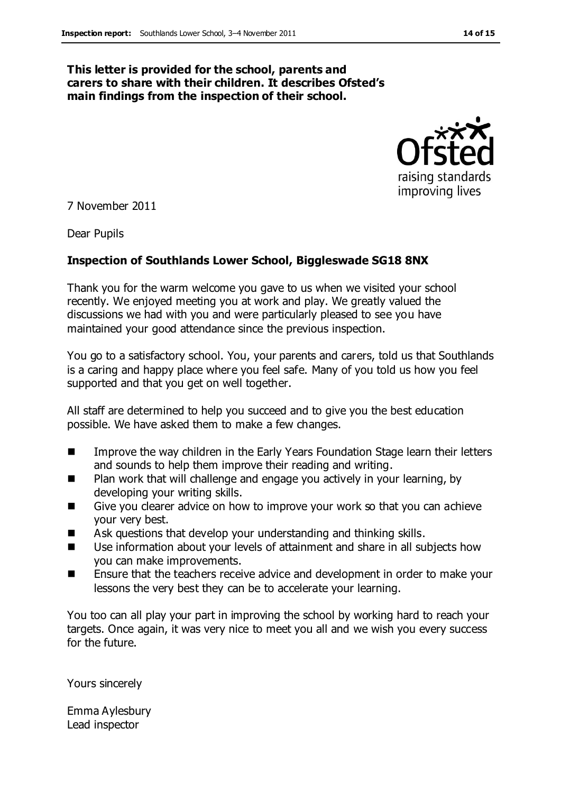#### **This letter is provided for the school, parents and carers to share with their children. It describes Ofsted's main findings from the inspection of their school.**



7 November 2011

Dear Pupils

#### **Inspection of Southlands Lower School, Biggleswade SG18 8NX**

Thank you for the warm welcome you gave to us when we visited your school recently. We enjoyed meeting you at work and play. We greatly valued the discussions we had with you and were particularly pleased to see you have maintained your good attendance since the previous inspection.

You go to a satisfactory school. You, your parents and carers, told us that Southlands is a caring and happy place where you feel safe. Many of you told us how you feel supported and that you get on well together.

All staff are determined to help you succeed and to give you the best education possible. We have asked them to make a few changes.

- **IMPROVE THE WAY CHILD EXALGE IN THE EXAM** PEARLY Years Foundation Stage learn their letters and sounds to help them improve their reading and writing.
- Plan work that will challenge and engage you actively in your learning, by developing your writing skills.
- Give you clearer advice on how to improve your work so that you can achieve your very best.
- Ask questions that develop your understanding and thinking skills.
- Use information about your levels of attainment and share in all subjects how you can make improvements.
- Ensure that the teachers receive advice and development in order to make your lessons the very best they can be to accelerate your learning.

You too can all play your part in improving the school by working hard to reach your targets. Once again, it was very nice to meet you all and we wish you every success for the future.

Yours sincerely

Emma Aylesbury Lead inspector